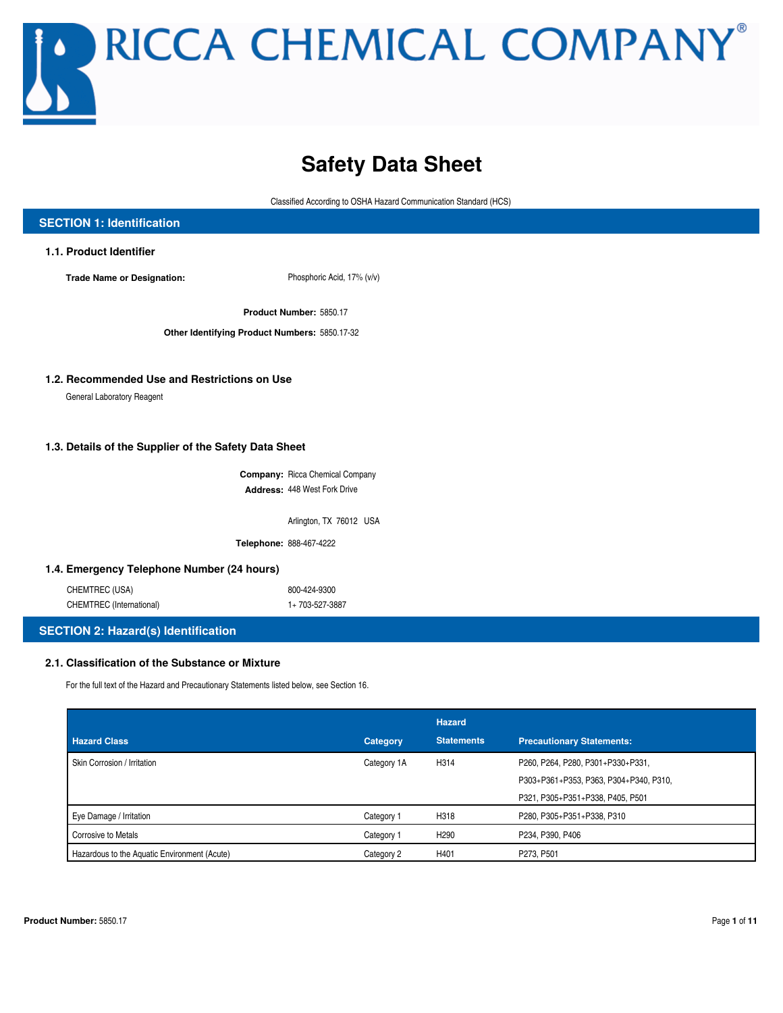## **Safety Data Sheet**

Classified According to OSHA Hazard Communication Standard (HCS)

| <b>SECTION 1: Identification</b>                      |                                               |  |
|-------------------------------------------------------|-----------------------------------------------|--|
| 1.1. Product Identifier                               |                                               |  |
| <b>Trade Name or Designation:</b>                     | Phosphoric Acid, 17% (v/v)                    |  |
|                                                       | Product Number: 5850.17                       |  |
|                                                       | Other Identifying Product Numbers: 5850.17-32 |  |
|                                                       |                                               |  |
| 1.2. Recommended Use and Restrictions on Use          |                                               |  |
| General Laboratory Reagent                            |                                               |  |
| 1.3. Details of the Supplier of the Safety Data Sheet | <b>Company: Ricca Chemical Company</b>        |  |
|                                                       | Address: 448 West Fork Drive                  |  |
|                                                       | Arlington, TX 76012 USA                       |  |
|                                                       | Telephone: 888-467-4222                       |  |
| 1.4. Emergency Telephone Number (24 hours)            |                                               |  |
| CHEMTREC (USA)                                        | 800-424-9300                                  |  |
| CHEMTREC (International)                              | 1+703-527-3887                                |  |
| <b>SECTION 2: Hazard(s) Identification</b>            |                                               |  |
| 2.1. Classification of the Substance or Mixture       |                                               |  |

For the full text of the Hazard and Precautionary Statements listed below, see Section 16.

|                                              |             | <b>Hazard</b>     |                                        |
|----------------------------------------------|-------------|-------------------|----------------------------------------|
| <b>Hazard Class</b>                          | Category    | <b>Statements</b> | <b>Precautionary Statements:</b>       |
| Skin Corrosion / Irritation                  | Category 1A | H314              | P260, P264, P280, P301+P330+P331,      |
|                                              |             |                   | P303+P361+P353, P363, P304+P340, P310, |
|                                              |             |                   | P321, P305+P351+P338, P405, P501       |
| Eye Damage / Irritation                      | Category 1  | H318              | P280, P305+P351+P338, P310             |
| <b>Corrosive to Metals</b>                   | Category 1  | H <sub>290</sub>  | P234, P390, P406                       |
| Hazardous to the Aquatic Environment (Acute) | Category 2  | H401              | P273, P501                             |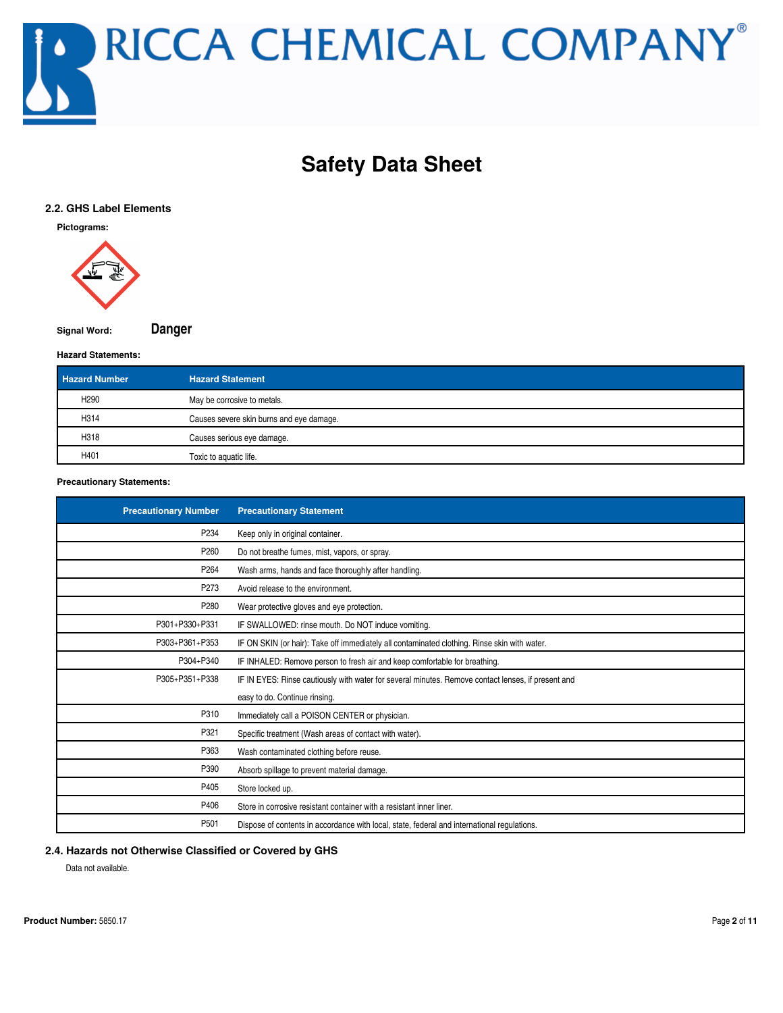

## **Safety Data Sheet**

#### **2.2. GHS Label Elements**

**Pictograms:**



**Signal Word: Danger**

#### **Hazard Statements:**

| <b>Hazard Number</b> | <b>Hazard Statement</b>                  |
|----------------------|------------------------------------------|
| H <sub>290</sub>     | May be corrosive to metals.              |
| H314                 | Causes severe skin burns and eye damage. |
| H318                 | Causes serious eye damage.               |
| H401                 | Toxic to aquatic life.                   |

**Precautionary Statements:**

| <b>Precautionary Number</b> | <b>Precautionary Statement</b>                                                                     |
|-----------------------------|----------------------------------------------------------------------------------------------------|
| P <sub>234</sub>            | Keep only in original container.                                                                   |
| P <sub>260</sub>            | Do not breathe fumes, mist, vapors, or spray.                                                      |
| P <sub>264</sub>            | Wash arms, hands and face thoroughly after handling.                                               |
| P273                        | Avoid release to the environment.                                                                  |
| P280                        | Wear protective gloves and eye protection.                                                         |
| P301+P330+P331              | IF SWALLOWED: rinse mouth. Do NOT induce vomiting.                                                 |
| P303+P361+P353              | IF ON SKIN (or hair): Take off immediately all contaminated clothing. Rinse skin with water.       |
| P304+P340                   | IF INHALED: Remove person to fresh air and keep comfortable for breathing.                         |
| P305+P351+P338              | IF IN EYES: Rinse cautiously with water for several minutes. Remove contact lenses, if present and |
|                             | easy to do. Continue rinsing.                                                                      |
| P310                        | Immediately call a POISON CENTER or physician.                                                     |
| P321                        | Specific treatment (Wash areas of contact with water).                                             |
| P363                        | Wash contaminated clothing before reuse.                                                           |
| P390                        | Absorb spillage to prevent material damage.                                                        |
| P405                        | Store locked up.                                                                                   |
| P406                        | Store in corrosive resistant container with a resistant inner liner.                               |
| P <sub>501</sub>            | Dispose of contents in accordance with local, state, federal and international regulations.        |

#### **2.4. Hazards not Otherwise Classified or Covered by GHS**

Data not available.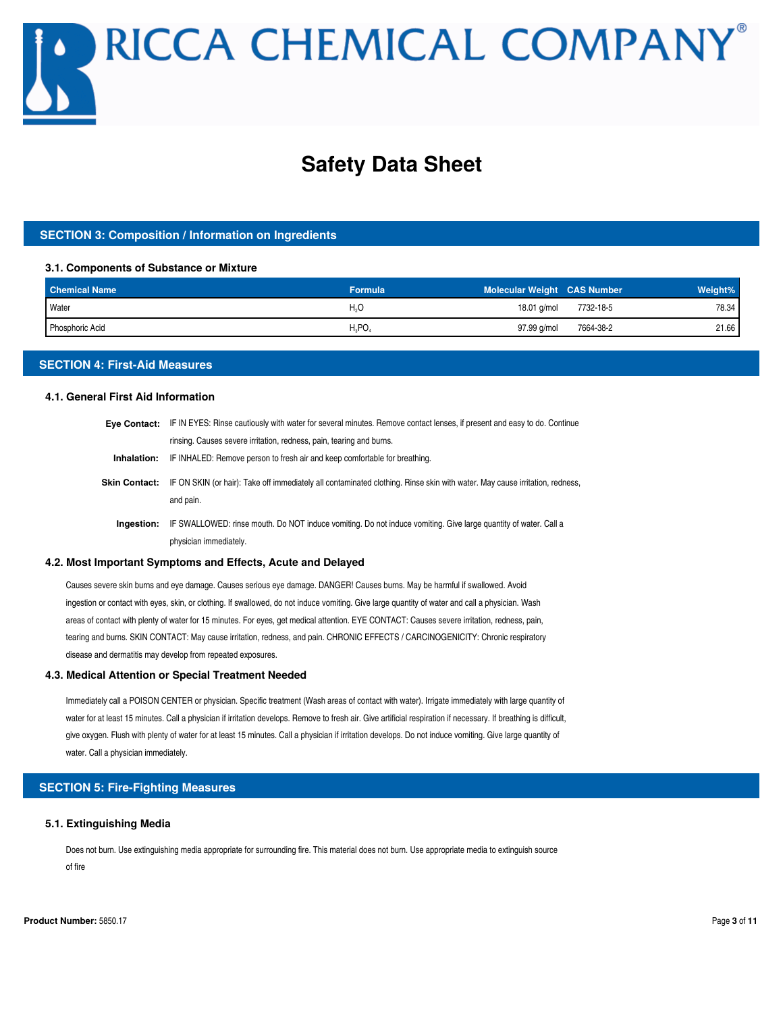## **Safety Data Sheet**

#### **SECTION 3: Composition / Information on Ingredients**

#### **3.1. Components of Substance or Mixture**

| <b>Chemical Name</b> | <b>Formula</b> | <b>Molecular Weight CAS Number</b> |           | Weight% |
|----------------------|----------------|------------------------------------|-----------|---------|
| <b>Water</b>         | H.O            | 18.01 g/mol                        | 7732-18-5 | 78.34   |
| Phosphoric Acid      | $H_3PO_4$      | 97.99 g/mol                        | 7664-38-2 | 21.66   |

#### **SECTION 4: First-Aid Measures**

#### **4.1. General First Aid Information**

| <b>Eve Contact:</b>  | IF IN EYES: Rinse cautiously with water for several minutes. Remove contact lenses, if present and easy to do. Continue                   |
|----------------------|-------------------------------------------------------------------------------------------------------------------------------------------|
|                      | rinsing. Causes severe irritation, redness, pain, tearing and burns.                                                                      |
| Inhalation:          | IF INHALED: Remove person to fresh air and keep comfortable for breathing.                                                                |
| <b>Skin Contact:</b> | IF ON SKIN (or hair): Take off immediately all contaminated clothing. Rinse skin with water. May cause irritation, redness,<br>and pain.  |
| Ingestion:           | IF SWALLOWED: rinse mouth. Do NOT induce vomiting. Do not induce vomiting. Give large quantity of water. Call a<br>physician immediately. |

#### **4.2. Most Important Symptoms and Effects, Acute and Delayed**

Causes severe skin burns and eye damage. Causes serious eye damage. DANGER! Causes burns. May be harmful if swallowed. Avoid ingestion or contact with eyes, skin, or clothing. If swallowed, do not induce vomiting. Give large quantity of water and call a physician. Wash areas of contact with plenty of water for 15 minutes. For eyes, get medical attention. EYE CONTACT: Causes severe irritation, redness, pain, tearing and burns. SKIN CONTACT: May cause irritation, redness, and pain. CHRONIC EFFECTS / CARCINOGENICITY: Chronic respiratory disease and dermatitis may develop from repeated exposures.

#### **4.3. Medical Attention or Special Treatment Needed**

Immediately call a POISON CENTER or physician. Specific treatment (Wash areas of contact with water). Irrigate immediately with large quantity of water for at least 15 minutes. Call a physician if irritation develops. Remove to fresh air. Give artificial respiration if necessary. If breathing is difficult, give oxygen. Flush with plenty of water for at least 15 minutes. Call a physician if irritation develops. Do not induce vomiting. Give large quantity of water. Call a physician immediately.

#### **SECTION 5: Fire-Fighting Measures**

#### **5.1. Extinguishing Media**

Does not burn. Use extinguishing media appropriate for surrounding fire. This material does not burn. Use appropriate media to extinguish source of fire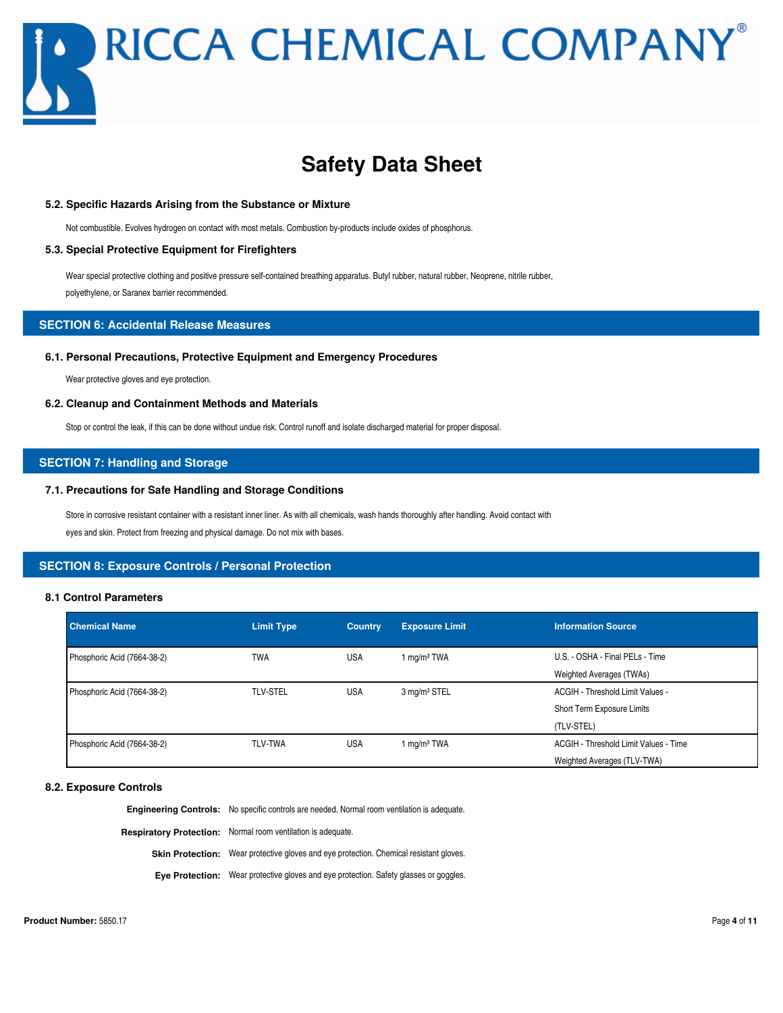## **Safety Data Sheet**

#### **5.2. Specific Hazards Arising from the Substance or Mixture**

Not combustible. Evolves hydrogen on contact with most metals. Combustion by-products include oxides of phosphorus.

#### **5.3. Special Protective Equipment for Firefighters**

Wear special protective clothing and positive pressure self-contained breathing apparatus. Butyl rubber, natural rubber, Neoprene, nitrile rubber, polyethylene, or Saranex barrier recommended.

#### **SECTION 6: Accidental Release Measures**

#### **6.1. Personal Precautions, Protective Equipment and Emergency Procedures**

Wear protective gloves and eye protection.

#### **6.2. Cleanup and Containment Methods and Materials**

Stop or control the leak, if this can be done without undue risk. Control runoff and isolate discharged material for proper disposal.

#### **SECTION 7: Handling and Storage**

#### **7.1. Precautions for Safe Handling and Storage Conditions**

Store in corrosive resistant container with a resistant inner liner. As with all chemicals, wash hands thoroughly after handling. Avoid contact with eyes and skin. Protect from freezing and physical damage. Do not mix with bases.

#### **SECTION 8: Exposure Controls / Personal Protection**

#### **8.1 Control Parameters**

| <b>Chemical Name</b>        | <b>Limit Type</b> | <b>Country</b> | <b>Exposure Limit</b>    | <b>Information Source</b>             |
|-----------------------------|-------------------|----------------|--------------------------|---------------------------------------|
| Phosphoric Acid (7664-38-2) | <b>TWA</b>        | <b>USA</b>     | 1 mg/m <sup>3</sup> TWA  | U.S. - OSHA - Final PELs - Time       |
|                             |                   |                |                          | Weighted Averages (TWAs)              |
| Phosphoric Acid (7664-38-2) | <b>TLV-STEL</b>   | <b>USA</b>     | 3 mg/m <sup>3</sup> STEL | ACGIH - Threshold Limit Values -      |
|                             |                   |                |                          | Short Term Exposure Limits            |
|                             |                   |                |                          | (TLV-STEL)                            |
| Phosphoric Acid (7664-38-2) | <b>TLV-TWA</b>    | <b>USA</b>     | 1 mg/m <sup>3</sup> TWA  | ACGIH - Threshold Limit Values - Time |
|                             |                   |                |                          | Weighted Averages (TLV-TWA)           |

#### **8.2. Exposure Controls**

**Engineering Controls:** No specific controls are needed. Normal room ventilation is adequate. **Respiratory Protection:** Normal room ventilation is adequate. **Skin Protection:** Wear protective gloves and eye protection. Chemical resistant gloves. **Eye Protection:** Wear protective gloves and eye protection. Safety glasses or goggles.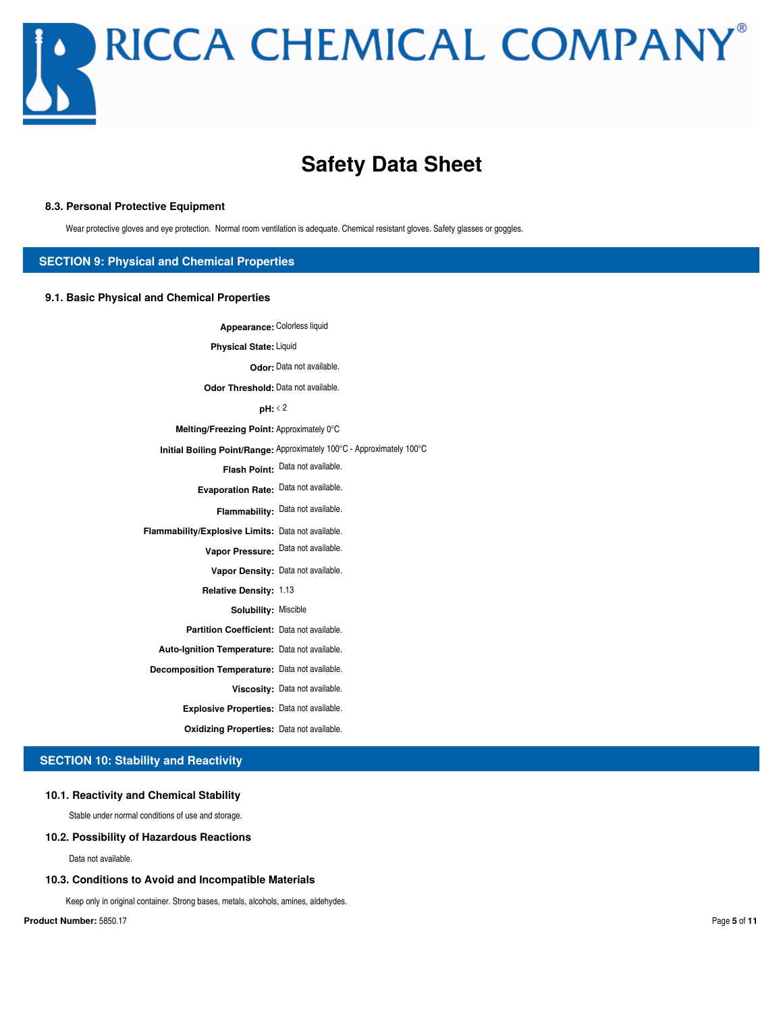

### **Safety Data Sheet**

#### **8.3. Personal Protective Equipment**

Wear protective gloves and eye protection. Normal room ventilation is adequate. Chemical resistant gloves. Safety glasses or goggles.

#### **SECTION 9: Physical and Chemical Properties**

#### **9.1. Basic Physical and Chemical Properties**

**Appearance:** Colorless liquid **Physical State:** Liquid **Odor:** Data not available. **Odor Threshold:** Data not available. **pH:** < 2 **Melting/Freezing Point:** Approximately 0°C **Initial Boiling Point/Range:** Approximately 100°C - Approximately 100°C **Flash Point:** Data not available. **Evaporation Rate:** Data not available. **Flammability:** Data not available. **Flammability/Explosive Limits:** Data not available. **Vapor Pressure:** Data not available. Vapor Density: Data not available. **Relative Density:** 1.13 **Solubility:** Miscible **Partition Coefficient:** Data not available. **Auto-Ignition Temperature:** Data not available. **Decomposition Temperature:** Data not available. **Viscosity:** Data not available.

**Explosive Properties:** Data not available.

**Oxidizing Properties:** Data not available.

#### **SECTION 10: Stability and Reactivity**

#### **10.1. Reactivity and Chemical Stability**

Stable under normal conditions of use and storage.

#### **10.2. Possibility of Hazardous Reactions**

Data not available.

#### **10.3. Conditions to Avoid and Incompatible Materials**

Keep only in original container. Strong bases, metals, alcohols, amines, aldehydes.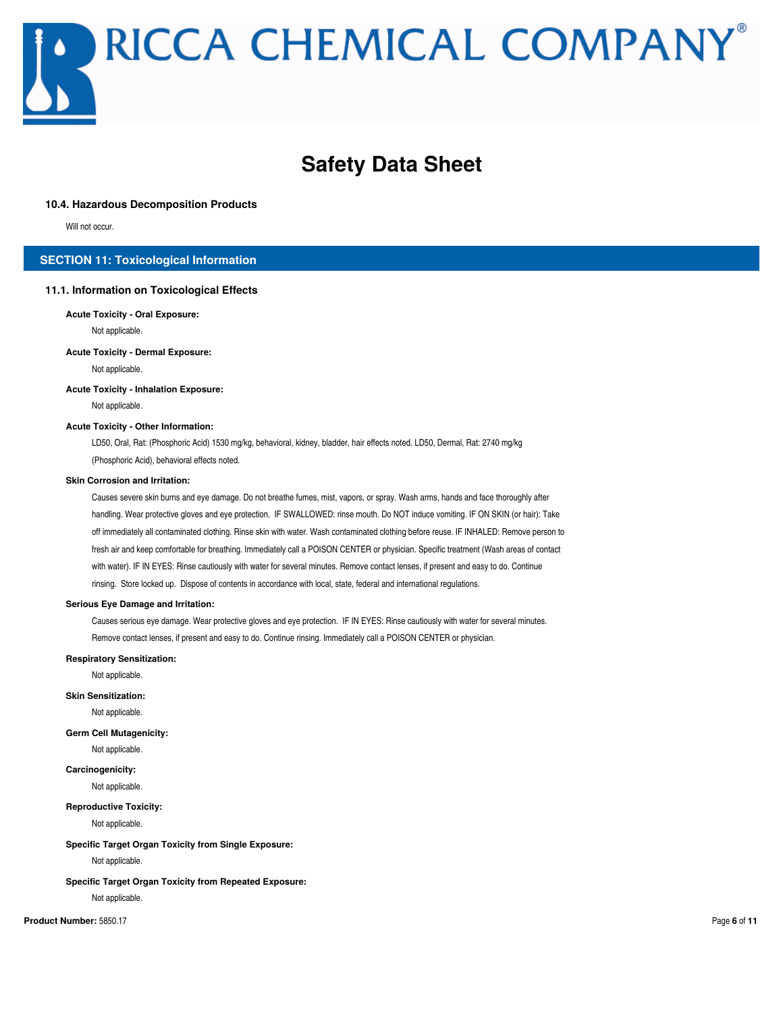## **Safety Data Sheet**

#### **10.4. Hazardous Decomposition Products**

Will not occur.

#### **SECTION 11: Toxicological Information**

#### **11.1. Information on Toxicological Effects**

#### **Acute Toxicity - Oral Exposure:**

Not applicable.

#### **Acute Toxicity - Dermal Exposure:**

Not applicable.

#### **Acute Toxicity - Inhalation Exposure:**

Not applicable.

#### **Acute Toxicity - Other Information:**

LD50, Oral, Rat: (Phosphoric Acid) 1530 mg/kg, behavioral, kidney, bladder, hair effects noted. LD50, Dermal, Rat: 2740 mg/kg (Phosphoric Acid), behavioral effects noted.

#### **Skin Corrosion and Irritation:**

Causes severe skin burns and eye damage. Do not breathe fumes, mist, vapors, or spray. Wash arms, hands and face thoroughly after handling. Wear protective gloves and eye protection. IF SWALLOWED: rinse mouth. Do NOT induce vomiting. IF ON SKIN (or hair): Take off immediately all contaminated clothing. Rinse skin with water. Wash contaminated clothing before reuse. IF INHALED: Remove person to fresh air and keep comfortable for breathing. Immediately call a POISON CENTER or physician. Specific treatment (Wash areas of contact with water). IF IN EYES: Rinse cautiously with water for several minutes. Remove contact lenses, if present and easy to do. Continue rinsing. Store locked up. Dispose of contents in accordance with local, state, federal and international regulations.

#### **Serious Eye Damage and Irritation:**

Causes serious eye damage. Wear protective gloves and eye protection. IF IN EYES: Rinse cautiously with water for several minutes. Remove contact lenses, if present and easy to do. Continue rinsing. Immediately call a POISON CENTER or physician.

#### **Respiratory Sensitization:**

Not applicable.

#### **Skin Sensitization:**

Not applicable.

#### **Germ Cell Mutagenicity:**

Not applicable.

#### **Carcinogenicity:**

Not applicable.

#### **Reproductive Toxicity:**

Not applicable.

#### **Specific Target Organ Toxicity from Single Exposure:**

Not applicable.

#### **Specific Target Organ Toxicity from Repeated Exposure:**

Not applicable.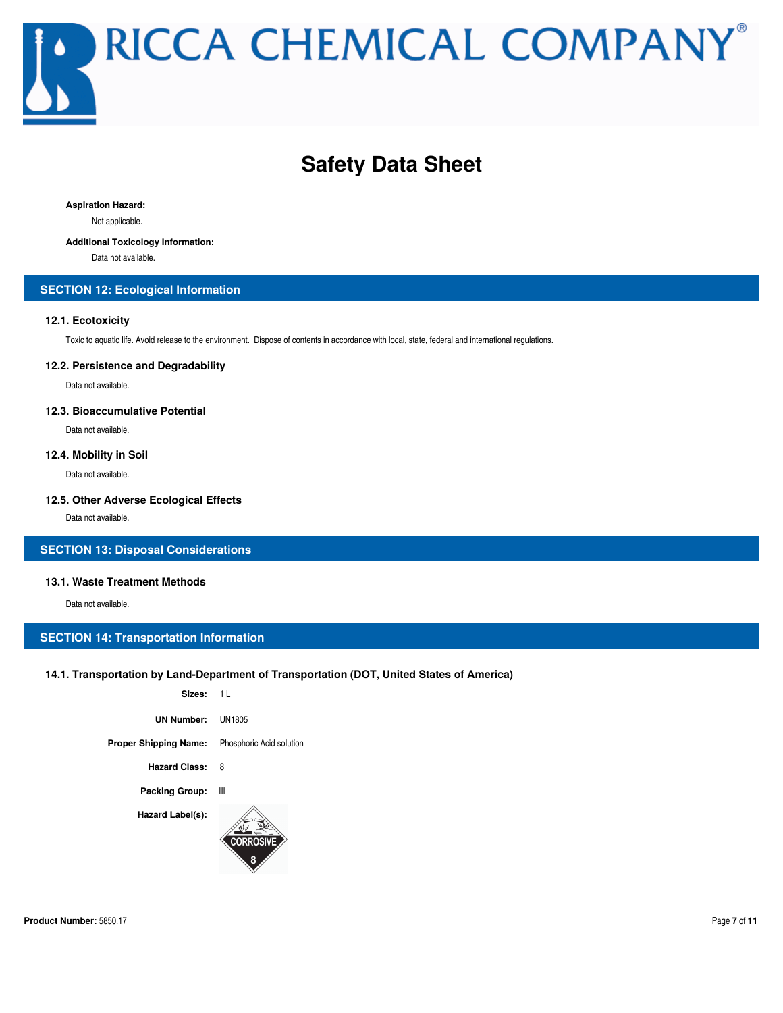## **Safety Data Sheet**

**Aspiration Hazard:**

Not applicable.

#### **Additional Toxicology Information:**

Data not available.

#### **SECTION 12: Ecological Information**

#### **12.1. Ecotoxicity**

Toxic to aquatic life. Avoid release to the environment. Dispose of contents in accordance with local, state, federal and international regulations.

#### **12.2. Persistence and Degradability**

Data not available.

#### **12.3. Bioaccumulative Potential**

Data not available.

#### **12.4. Mobility in Soil**

Data not available.

#### **12.5. Other Adverse Ecological Effects**

Data not available.

#### **SECTION 13: Disposal Considerations**

#### **13.1. Waste Treatment Methods**

Data not available.

#### **SECTION 14: Transportation Information**

#### **14.1. Transportation by Land-Department of Transportation (DOT, United States of America)**

| Sizes: 11             |                          |
|-----------------------|--------------------------|
| UN Number:            | <b>UN1805</b>            |
| Proper Shipping Name: | Phosphoric Acid solution |
| <b>Hazard Class:</b>  | 8                        |
| <b>Packing Group:</b> | Ш                        |
| Hazard Label(s):      | <b>CORROSIVE</b>         |
|                       |                          |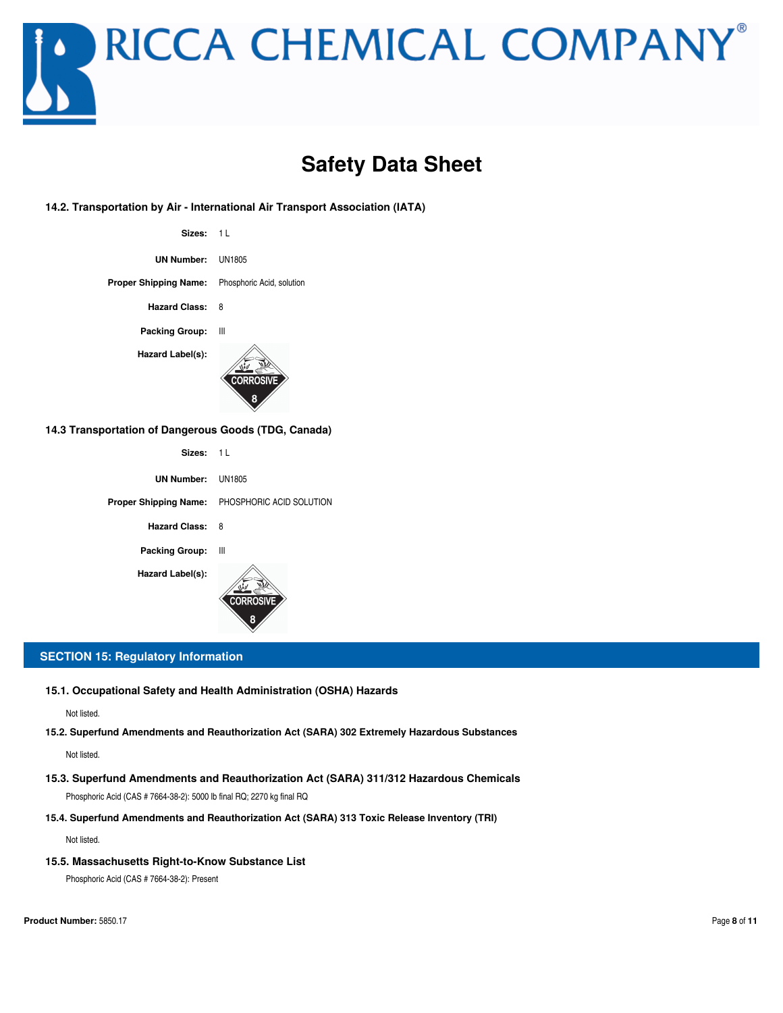

**Safety Data Sheet**

#### **14.2. Transportation by Air - International Air Transport Association (IATA)**

| Sizes: 1L                                              |                  |
|--------------------------------------------------------|------------------|
| UN Number: UN1805                                      |                  |
| <b>Proper Shipping Name:</b> Phosphoric Acid, solution |                  |
| Hazard Class: 8                                        |                  |
| <b>Packing Group:</b>                                  | Ш                |
| Hazard Label(s):                                       | <b>CORROSIVE</b> |

#### **14.3 Transportation of Dangerous Goods (TDG, Canada)**

| Sizes: 11             |                                                |
|-----------------------|------------------------------------------------|
| UN Number: UN1805     |                                                |
|                       | Proper Shipping Name: PHOSPHORIC ACID SOLUTION |
| <b>Hazard Class:</b>  | - 8                                            |
| <b>Packing Group:</b> | Ш                                              |
| Hazard Label(s):      | <b>CORROSIVE</b><br>8                          |

#### **SECTION 15: Regulatory Information**

**15.1. Occupational Safety and Health Administration (OSHA) Hazards**

Not listed.

**15.2. Superfund Amendments and Reauthorization Act (SARA) 302 Extremely Hazardous Substances**

Not listed.

- Phosphoric Acid (CAS # 7664-38-2): 5000 lb final RQ; 2270 kg final RQ **15.3. Superfund Amendments and Reauthorization Act (SARA) 311/312 Hazardous Chemicals**
- **15.4. Superfund Amendments and Reauthorization Act (SARA) 313 Toxic Release Inventory (TRI)**

Not listed.

**15.5. Massachusetts Right-to-Know Substance List**

Phosphoric Acid (CAS # 7664-38-2): Present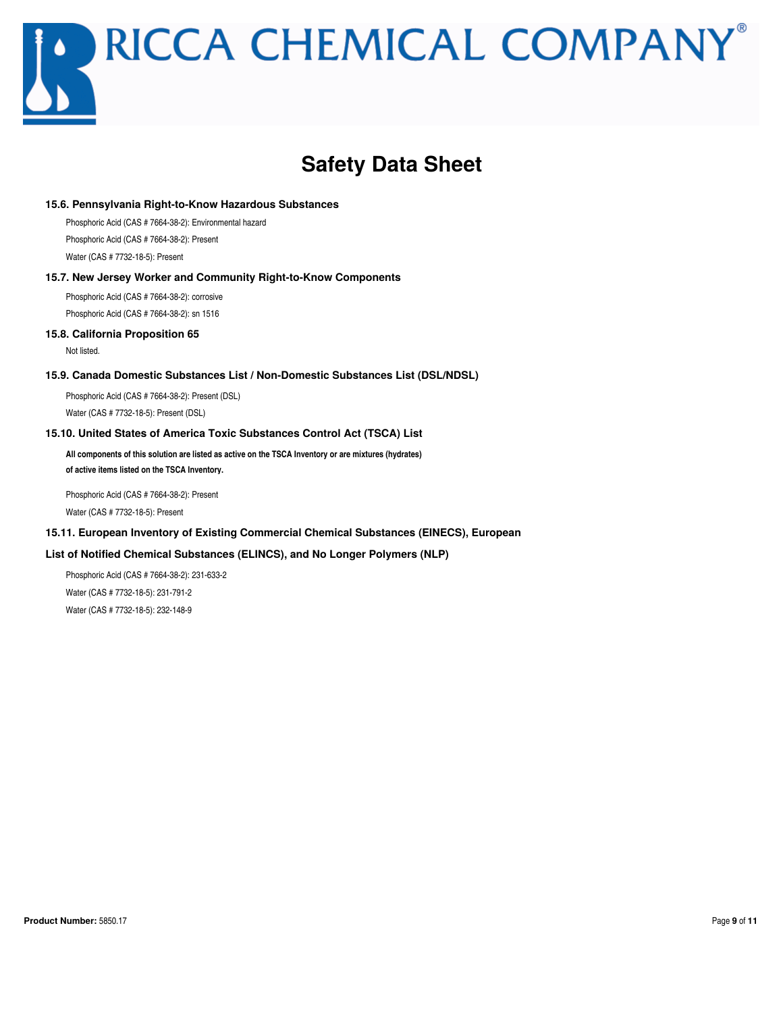## **Safety Data Sheet**

#### **15.6. Pennsylvania Right-to-Know Hazardous Substances**

Phosphoric Acid (CAS # 7664-38-2): Environmental hazard Phosphoric Acid (CAS # 7664-38-2): Present

Water (CAS # 7732-18-5): Present

#### **15.7. New Jersey Worker and Community Right-to-Know Components**

Phosphoric Acid (CAS # 7664-38-2): corrosive Phosphoric Acid (CAS # 7664-38-2): sn 1516

#### **15.8. California Proposition 65**

Not listed.

#### **15.9. Canada Domestic Substances List / Non-Domestic Substances List (DSL/NDSL)**

Phosphoric Acid (CAS # 7664-38-2): Present (DSL) Water (CAS # 7732-18-5): Present (DSL)

#### **15.10. United States of America Toxic Substances Control Act (TSCA) List**

**All components of this solution are listed as active on the TSCA Inventory or are mixtures (hydrates) of active items listed on the TSCA Inventory.**

Phosphoric Acid (CAS # 7664-38-2): Present

Water (CAS # 7732-18-5): Present

#### **15.11. European Inventory of Existing Commercial Chemical Substances (EINECS), European**

#### **List of Notified Chemical Substances (ELINCS), and No Longer Polymers (NLP)**

Phosphoric Acid (CAS # 7664-38-2): 231-633-2 Water (CAS # 7732-18-5): 231-791-2 Water (CAS # 7732-18-5): 232-148-9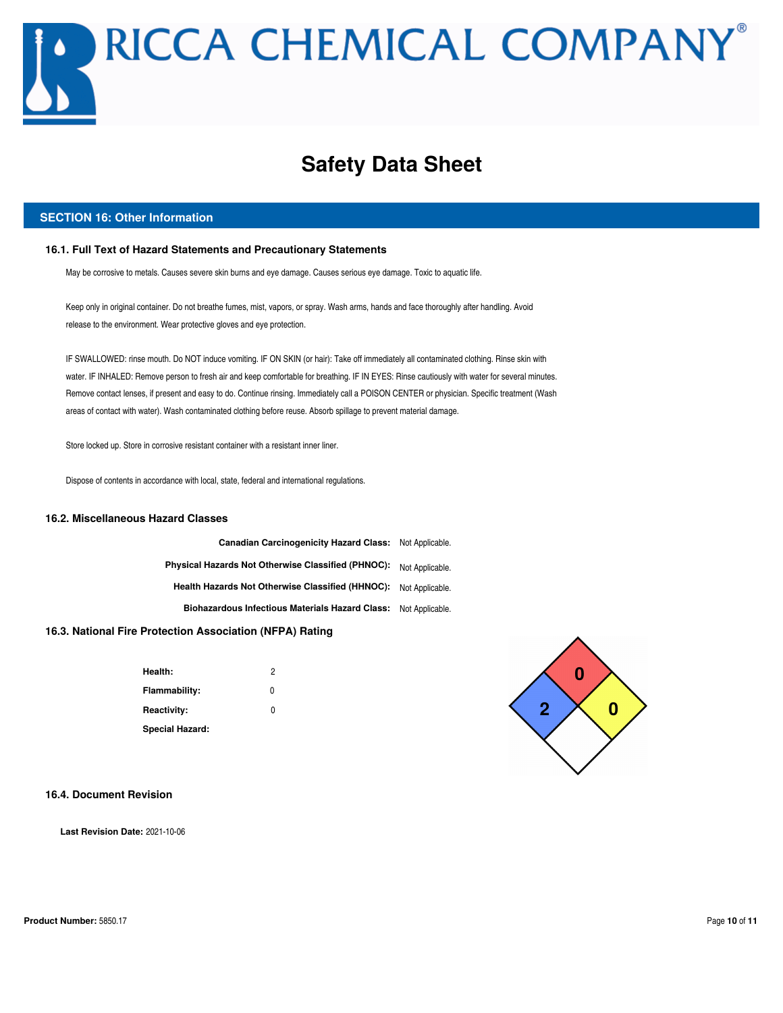## **Safety Data Sheet**

#### **SECTION 16: Other Information**

#### **16.1. Full Text of Hazard Statements and Precautionary Statements**

May be corrosive to metals. Causes severe skin burns and eye damage. Causes serious eye damage. Toxic to aquatic life.

Keep only in original container. Do not breathe fumes, mist, vapors, or spray. Wash arms, hands and face thoroughly after handling. Avoid release to the environment. Wear protective gloves and eye protection.

IF SWALLOWED: rinse mouth. Do NOT induce vomiting. IF ON SKIN (or hair): Take off immediately all contaminated clothing. Rinse skin with water. IF INHALED: Remove person to fresh air and keep comfortable for breathing. IF IN EYES: Rinse cautiously with water for several minutes. Remove contact lenses, if present and easy to do. Continue rinsing. Immediately call a POISON CENTER or physician. Specific treatment (Wash areas of contact with water). Wash contaminated clothing before reuse. Absorb spillage to prevent material damage.

Store locked up. Store in corrosive resistant container with a resistant inner liner.

Dispose of contents in accordance with local, state, federal and international regulations.

#### **16.2. Miscellaneous Hazard Classes**

**Canadian Carcinogenicity Hazard Class:** Not Applicable. **Physical Hazards Not Otherwise Classified (PHNOC):** Not Applicable. **Health Hazards Not Otherwise Classified (HHNOC):** Not Applicable. **Biohazardous Infectious Materials Hazard Class:** Not Applicable.

#### **16.3. National Fire Protection Association (NFPA) Rating**

| Health:                | 2 |
|------------------------|---|
| Flammability:          | 0 |
| <b>Reactivity:</b>     | U |
| <b>Special Hazard:</b> |   |



#### **16.4. Document Revision**

**Last Revision Date:** 2021-10-06